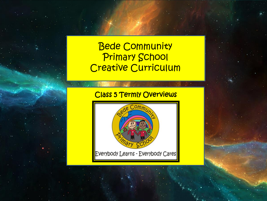# Bede Community Primary School Creative Curriculum

## Class 5 Termly Overviews

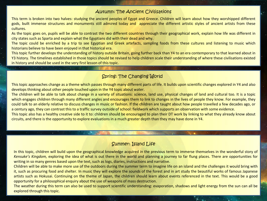#### Autumn: The Ancient Civilisations

This term is broken into two halves: studying the ancient peoples of Egypt and Greece. Children will learn about how they worshipped different gods, built immense structures and monuments still admired today and appreciate the different artistic styles of ancient artists from these cultures.

As the topic goes on, pupils will be able to contrast the two different countries through their geographical work, explain how life was different in city states such as Sparta and explain what the Egyptians did with their dead and why.

The topic could be enriched by a trip to see Egyptian and Greek artefacts, sampling foods from these cultures and listening to music which historians believe to have been enjoyed in that historical era.

This topic further develops the understanding of history outside Britain, going further back than Y4 to an era contemporary to that learned about in Y3 history. The timelines established in those topics should be revised to help children scale their understanding of where these civilisations existed in history and should be used in the very first lesson of this topic.

#### Spring: The Changing World

This topic approaches change as a theme which passes through many different parts of life. It builds upon scientific changes explored in Y4 and also develops thinking about other people touched upon in the Y4 topic about water.

The children will be able to talk about change in a variety of situations: science, land use, physical changes of land and cultural too. It is a topic which engages children through many different angles and encourages them to link to changes in the lives of people they know. For example, they could talk to an elderly relative to discuss changes in music or fashion. If the children are taught about how people travelled a few decades ago, or a century ago, they can contrast this to a traffic survey outside of school: fieldwork which supports an observation with some evidence.

This topic also has a healthy creative side to it to: children should be encouraged to plan their DT work by linking to what they already know about circuits, and there is the opportunity to explore evaluations in a much greater depth than they may have done in Y4.

#### Summer: Island Life

In this topic, children will build upon the geographical knowledge acquired in the previous term to immerse themselves in the wonderful story of *Kensuke's Kingdom,* exploring the idea of what is out there in the world and planning a journey to far flung places. There are opportunities for writing in so many genres based upon the text, such as logs, diaries, instructions and narrative.

Children will be able to make more use of the outdoors during the summer term to imagine life on an island and the challenges it would bring with it, such as procuring food and shelter. In music they will explore the sounds of the forest and in art study the beautiful works of famous Japanese artists such as Hokusai. Continuing on the theme of Japan, the children should learn about events referenced in the text. This would be a good opportunity for a philosophical enquiry about the use of weapons of mass destruction.

The weather during this term can also be used to support scientific understanding: evaporation, shadows and light energy from the sun can all be explored through this topic.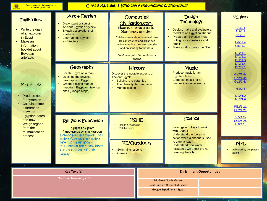Ġ

 $\sim$  $\cdot$ .

Class 5 Autumn 1 Who were the ancient civilisations?

| <b>English links</b><br>Write the diary<br>of an explorer<br>in Egypt<br>Make an<br>information<br>booklet about<br>Egyptian | Art & Design<br>Draw, paint or sculpt in<br><b>Ancient Egyptian style(s)</b><br>Sketch observations of<br>artefacts<br>Learn about Egyptian<br>architecture                                                                                        | Computing<br><b>Design</b><br><b>Technology</b><br>Civilization.com:<br>How to create a basic<br>Design, make and evaluate a<br><b>Wordpress website</b><br>model of an Egyptian shaduf<br>Prepare an Egyptian meal,<br>Children learn about how websites<br>noting tastes, textures and<br>are constructed and organised<br>smells<br>before creating their own website<br>Make a raft to cross the Nile<br>and presenting to the class.<br>Children require Chromebook or<br>laptop |                                 |                                                                                                                                                                                                                                    | <b>NC links</b><br>Ar2/1.1<br>Ar2/1.2<br>Ar2/1.3<br>Co2/1.4<br>Co2/1.7<br>DT2/1.1<br>DT2/1.2                               |  |
|------------------------------------------------------------------------------------------------------------------------------|----------------------------------------------------------------------------------------------------------------------------------------------------------------------------------------------------------------------------------------------------|---------------------------------------------------------------------------------------------------------------------------------------------------------------------------------------------------------------------------------------------------------------------------------------------------------------------------------------------------------------------------------------------------------------------------------------------------------------------------------------|---------------------------------|------------------------------------------------------------------------------------------------------------------------------------------------------------------------------------------------------------------------------------|----------------------------------------------------------------------------------------------------------------------------|--|
| artefacts<br>Maths links<br><b>Produce nets</b><br>$\bullet$<br>for pyramids<br>Calculate time<br>differences<br>between     | Geography<br>Locate Egypt on a map<br>Describe the physical<br>geography of Egypt<br>Create a digital map of<br>important Egyptian historical<br>sites (Google Maps)                                                                               | Discover the notable aspects of<br><b>Ancient Egypt:</b><br><b>Building the pyramids</b><br>The Hieroglyphic language<br><b>Mummification</b>                                                                                                                                                                                                                                                                                                                                         | <b>History</b>                  | <b>Music</b><br>Produce music for an<br><b>Egyptian feast</b><br>Compose music for a<br>mummification ceremony                                                                                                                     | DT2/1.3<br>DT2/1.4<br>DT2/2.1<br>Ge2/1.4a<br>Ge2/1.4b<br>Ge2/1.4c<br>Hi2/2.3<br>Mu2/1.2<br>Mu2/1.6<br>PE2/1.2a<br>PE2/1.2b |  |
| <b>Egyptian dates</b><br>and now<br>Weigh organs<br>$\bullet$<br>from the<br>mummification<br>process                        | <b>Religious Education</b><br>5 pillars of Islam<br>Importance of the mosque<br>How do Muslims express their<br>beliefs? Why do their beliefs<br>have such a significant<br>influence on their lives? What<br>are the sources of their<br>beliefs? | Health & wellbeing<br><b>Relationships</b><br><b>Swimming lessons</b><br><b>Games</b>                                                                                                                                                                                                                                                                                                                                                                                                 | <b>PSHE</b><br>PE/Outdoors      | <b>Science</b><br>Investigate pulleys to work<br>with Shaduf<br>Understand the forces in<br>action when a shaduf is used<br>to carry a load<br><b>Understand how water</b><br>resistance will affect the raft<br>crossing the Nile | Sc5/4.2a<br>SC5/4.2b<br>Sc5/4.2c<br><b>MFL</b><br>Delivered by peripatetic<br>teacher                                      |  |
|                                                                                                                              |                                                                                                                                                                                                                                                    |                                                                                                                                                                                                                                                                                                                                                                                                                                                                                       |                                 |                                                                                                                                                                                                                                    |                                                                                                                            |  |
|                                                                                                                              | <b>Key Text (s)</b>                                                                                                                                                                                                                                |                                                                                                                                                                                                                                                                                                                                                                                                                                                                                       | <b>Enrichment Opportunities</b> |                                                                                                                                                                                                                                    |                                                                                                                            |  |
| <b>The Time Travelling Cat</b><br><b>Visit Great North Museum</b><br>Visit Durham Oriental Museum                            |                                                                                                                                                                                                                                                    |                                                                                                                                                                                                                                                                                                                                                                                                                                                                                       |                                 |                                                                                                                                                                                                                                    |                                                                                                                            |  |

Google Expeditions - Egypt

 $\sum_{i=1}^{n}$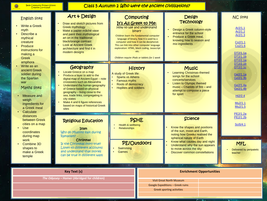Ġ

Class 5 Autumn 2 Who were the ancient civilisations?

| <b>English links</b>                                                           | Art & Design                                                                                                       | Computing                                                    |                                                                                                                                                                            | <b>Design</b><br><b>Technology</b>                                    | <b>NC links</b>                            |
|--------------------------------------------------------------------------------|--------------------------------------------------------------------------------------------------------------------|--------------------------------------------------------------|----------------------------------------------------------------------------------------------------------------------------------------------------------------------------|-----------------------------------------------------------------------|--------------------------------------------|
| <b>Write a Greek</b><br>myth<br>Describe a                                     | Draw and sketch pictures from<br><b>Greek mythology</b><br>Make a papier-mâché vase                                | It's All Greek to Me:<br>How to use and understand<br>binary |                                                                                                                                                                            | Design a Greek column-style<br>entrance for the school                | Ar2/1.1<br>Ar2/1.2                         |
| mythical<br>creature                                                           | and paint their mythological<br>art on in the traditional<br>black/orange contrast<br><b>Look at Ancient Greek</b> |                                                              | Children learn the fundamental computer<br>language of binary, how it is used by a<br>computer and how it can be deciphered.<br>This can link into other computer language | Produce a Greek meal.<br>knowing how to season and<br>mix ingredients | Ar2/1.3<br>Co2/1.1<br>Co <sub>2</sub> /1.6 |
| Produce<br>instructions for<br>making a                                        | architecture and find it in<br>modern designs                                                                      |                                                              | exploration: HTML, block coding, Javascript<br>etc.                                                                                                                        |                                                                       | DT2/1.1a<br>DT2/1.1b                       |
| Greek<br>amphora                                                               |                                                                                                                    |                                                              | Children require iPads or tablets for 1 week                                                                                                                               |                                                                       | DT2/2.1a                                   |
| Write as an                                                                    | Geography                                                                                                          | History                                                      |                                                                                                                                                                            | <b>Music</b>                                                          | DT2/2.1b<br>DT2/2.1c                       |
| ancient Greek<br>soldier during                                                | Locate Greece on a map<br>Produce a layer to add to the                                                            | A study of Greek life:                                       |                                                                                                                                                                            | <b>Learning Christmas-themed</b><br>songs for the school              | Ge2/1.1a                                   |
| the Spartan<br>war                                                             | digital map of Ancient Egypt - note<br>crossovers such as Alexandria                                               | <b>Sparta vs Athens</b><br><b>Famous myths</b>               |                                                                                                                                                                            | concerts/services<br><b>Listen to Olympic themed</b>                  | Ge2/1.3b                                   |
| Maths links                                                                    | Understand the human geography<br>of Greece based on physical                                                      | Roots of democracy<br><b>Hoplites and soldiers</b>           |                                                                                                                                                                            | $music - Chariots$ of fire $-$ and<br>attempt to compose a piece      | Ge2/1.4a<br>Ge2/1.4b                       |
| Measure and                                                                    | geography – living close to the<br>sea, trade links, congregating in                                               |                                                              |                                                                                                                                                                            | for sport                                                             | Hi2/2.4                                    |
| weigh<br>ingredients for                                                       | city states<br>Make 4 and 6 figure references                                                                      |                                                              |                                                                                                                                                                            |                                                                       | Mu2/1.1                                    |
| a Greek meal<br>Calculate<br>$\bullet$                                         | based on maps of historical Greek<br>sites                                                                         |                                                              |                                                                                                                                                                            |                                                                       | Mu2/1.5                                    |
| distances                                                                      |                                                                                                                    |                                                              |                                                                                                                                                                            | <b>Science</b>                                                        | PE2/1.2a<br>PE2/1.2b                       |
| between Greek<br>cities on a map                                               | <b>Religious Education</b>                                                                                         | <b>PSHE</b><br>Health & wellbeing                            |                                                                                                                                                                            |                                                                       | Sci5/4.1                                   |
| $\bullet$<br><b>Use</b><br>coordinates                                         | <b>Islam</b><br>Why do Muslims fast during                                                                         | <b>Relationships</b>                                         |                                                                                                                                                                            | Know the shapes and positions<br>of the sun, moon and Earth,          |                                            |
| during map<br>work                                                             | Ramadam?<br>Christmas                                                                                              |                                                              |                                                                                                                                                                            | noting how Greeks realised the<br>spherical nature of Earth           |                                            |
| Combine 3D                                                                     | Is the Christmas story true?<br>Listen to different accounts                                                       | <b>PE/Outdoors</b>                                           |                                                                                                                                                                            | Know what causes day and night<br>Understand why the sun appears      | <b>MFL</b>                                 |
| shapes to<br>make a Greek                                                      | and understand that stories                                                                                        | Swimming<br><b>Games</b>                                     |                                                                                                                                                                            | to move across the sky<br><b>Discover common constellations</b>       | Delivered by peripatetic<br>teacher        |
| temple                                                                         | Can be true in different ways                                                                                      |                                                              |                                                                                                                                                                            |                                                                       |                                            |
|                                                                                |                                                                                                                    |                                                              |                                                                                                                                                                            |                                                                       |                                            |
|                                                                                | <b>Key Text (s)</b>                                                                                                |                                                              |                                                                                                                                                                            | <b>Enrichment Opportunities</b>                                       |                                            |
| The Odyssey - Homer (Abridged for children)<br><b>Visit Great North Museum</b> |                                                                                                                    |                                                              |                                                                                                                                                                            |                                                                       |                                            |

Google Expeditions – Greek ruins Greek sporting activities

 $\Gamma$   $\sim$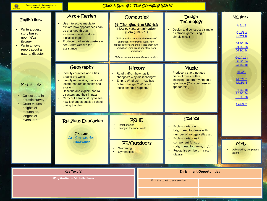$\bullet$ 

#### Class 5 Spring 1 The Changing World

| <b>English links</b><br>Write a quest<br>story based<br>upon Wolf<br><b>Brother</b><br>Write a news<br>report about a<br>natural disaster | Art & Design<br>Use interactive media to<br>explore how appearances can<br>be changed through<br>expression and produce<br>digital collages<br>Produce road safety posters -<br>see Brake website for<br>assistance                                                                               | It Changed the World:<br>Children will learn about the history of<br>animation, how frames work, how<br>flipbooks work and then create their own<br>animation using props and stop-work<br>animation.<br>Children require laptops, iPads or tablets | Computing<br>How to make an animation<br>about Inventors | Design<br><b>Technology</b><br>Design and construct a simple<br>electronic game using a<br>simple circuit                                                                                                                                     | <b>NC links</b><br>Ar2/1.2<br>Co2/1.2<br>Co <sub>2</sub> /1.6<br>DT2/1.1b<br>DT2/1.2a<br>DT2/1.4c<br>Ge2//1.1a<br>Ge2/1.3a |
|-------------------------------------------------------------------------------------------------------------------------------------------|---------------------------------------------------------------------------------------------------------------------------------------------------------------------------------------------------------------------------------------------------------------------------------------------------|-----------------------------------------------------------------------------------------------------------------------------------------------------------------------------------------------------------------------------------------------------|----------------------------------------------------------|-----------------------------------------------------------------------------------------------------------------------------------------------------------------------------------------------------------------------------------------------|----------------------------------------------------------------------------------------------------------------------------|
| Maths links<br>Collect data in<br>a traffic survey<br>• Order values in<br>heights of<br>mountains,                                       | Geography<br>Identify countries and cities<br>around the world<br>Identify mountains, rivers and<br>locate features of coasts and<br>erosion<br>Describe and explain natural<br>disasters and their impact<br>Carry out a traffic study to see<br>how it changes outside school<br>during the day | Road traffic - how has it<br>Empire Windrush - how has<br>Britain changed? Why did<br>these changes happen?                                                                                                                                         | History<br>changed? Why did it change?                   | <b>Music</b><br>Produce a short, notated<br>piece of music with a<br>changing pattern/rhythm on a<br>xylophone (You could use an<br>app for this!)                                                                                            | Ge2/1.4c<br>Hi2/2.2<br>Mu2/1.2<br>Mu2/1.4<br>PE2/1.1c<br>PE2/1.2a<br>PE2/1.2b<br>Sci6/4.2                                  |
| lengths of<br>rivers, etc.                                                                                                                | <b>Religious Education</b><br>Sikhism-<br>Are Sikh stories<br>important?                                                                                                                                                                                                                          | <b>PSHE</b><br><b>Relationships</b><br>Living in the wider world<br>PE/Outdoors<br>Swimming<br><b>Gymnastics</b>                                                                                                                                    |                                                          | <b>Science</b><br><b>Explain variation in</b><br>brightness, loudness with<br>number of voltage cells used<br><b>Explain variations in</b><br>component function<br>(brightness, loudness, on/off)<br>Recognise symbols in circuit<br>diagram | <b>MFL</b><br>Delivered by peripatetic<br>teacher                                                                          |
|                                                                                                                                           | <b>Key Text (s)</b><br><b>Wolf Brother - Michelle Paver</b>                                                                                                                                                                                                                                       |                                                                                                                                                                                                                                                     |                                                          | <b>Enrichment Opportunities</b><br>Visit the coast to see erosion                                                                                                                                                                             |                                                                                                                            |

 $\overline{\wedge}$   $\overline{\wedge}$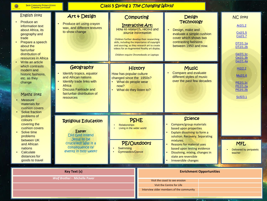| <b>Bede Community Primary School</b> |  |  |
|--------------------------------------|--|--|
| <b>Creative Curriculum</b>           |  |  |

 $\bullet$ 

## Class 5 Spring 2 The Changing World

| <b>English links</b><br>Produce an<br>information text<br>about Africa, its<br>to show change<br>geography and<br>trade<br>Prepare a speech<br>about the<br>fair/unfair<br>distribution of<br>resources in Africa | Art & Design<br>Produce art using crayon<br>wax, and different textures                                                                                                          | Computing<br>Interactive Art:<br>How to research, record and<br>source information<br>Children further develop their researching<br>skills, including the importance of copyright<br>and sourcing, as they research art to create<br>videos for an Augmented Reality art display.<br>Children require Chromebooks or Laptops | <b>Design</b><br><b>Technology</b><br>Design, make and<br>evaluate a simple cushion<br>cover which shows two<br>contrasting fashions<br>between 1950 and now.                                                                                                                                          |                                 | <b>NC links</b><br>Ar2/1.2<br>Co2/1.5<br>Co2/1.7<br>DT2/1.1a<br>DT2/1.2b<br>Ge2/1.1c<br>Ge2/1.3b<br>Ge2/1.4a |
|-------------------------------------------------------------------------------------------------------------------------------------------------------------------------------------------------------------------|----------------------------------------------------------------------------------------------------------------------------------------------------------------------------------|------------------------------------------------------------------------------------------------------------------------------------------------------------------------------------------------------------------------------------------------------------------------------------------------------------------------------|--------------------------------------------------------------------------------------------------------------------------------------------------------------------------------------------------------------------------------------------------------------------------------------------------------|---------------------------------|--------------------------------------------------------------------------------------------------------------|
| Write an article<br>which contrasts<br>modern and<br>historic fashions.<br>etc. as they<br>change<br>Maths links<br><b>Measure</b><br>materials for<br>cushion covers<br>Solve fraction                           | Geography<br>Identify tropics, equator<br>and African nations<br>Identify trade links with<br>Africa<br><b>Discuss Fairtrade and</b><br>fair/unfair distribution of<br>resources | <b>History</b><br>How has popular culture<br>changed since the 1950s?<br>What do people wear<br>now?<br>What do they listen to?                                                                                                                                                                                              | <b>Music</b><br><b>Compare and evaluate</b><br>different styles of music<br>over the past few decades                                                                                                                                                                                                  |                                 | Hi2/2.2<br>Mu2/1.6<br>PE2/1.1c<br>PE2/1.2a<br>PE2/1.2b<br>Sci5/3.1                                           |
| problems of<br>colours<br>covering the<br>cushion covers<br>Solve time<br>problems<br>between UK<br>and African<br>nations<br>Calculate<br>distances for<br>goods to travel                                       | <b>Religious Education</b><br>Easter<br>Did God intend<br>Jesus to be<br>crucified? Was it a<br>consequence of<br>events in holy week?                                           | <b>PSHE</b><br><b>Relationships</b><br>Living in the wider world<br><b>PE/Outdoors</b><br>Swimming<br><b>Gymnastics/Dance</b>                                                                                                                                                                                                | <b>Science</b><br>Compare/group materials<br>based upon properties<br>Explain dissolving to form a<br>solution. Recovery. Separating<br>mixtures.<br><b>Reasons for material uses</b><br>based upon testing evidence<br>Dissolving, mixing, changes in<br>state are reversible<br>Irreversible changes |                                 | <b>MFL</b><br>Delivered by peripatetic<br>teacher                                                            |
| <b>Key Text (s)</b><br><b>Wolf Brother - Michelle Paver</b>                                                                                                                                                       |                                                                                                                                                                                  |                                                                                                                                                                                                                                                                                                                              | Visit the coast to see erosion<br>Visit the Centre for Life<br>Interview older members of the community                                                                                                                                                                                                | <b>Enrichment Opportunities</b> |                                                                                                              |

U

 $\overline{\mathcal{L}}$   $\overline{\mathcal{L}}$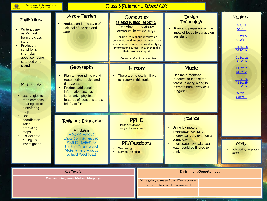$\bullet$ 

ويتبا

### Class 5 Summer 1 Island Life

| <b>English links</b><br>Write a diary<br>as Michael<br>from the class<br>story<br>Produce a<br>script for a<br>short play<br>about someone<br>stranded on an<br>island<br>Maths links<br>Use angles to<br>read compass<br>bearings from<br>a seafaring<br>map<br><b>Use</b><br>coordinates<br>when<br>producing<br>maps<br><b>Collect data</b><br>during lux<br>investigation | Art & Design<br>Produce art in the style of<br>Hokusai of the sea and<br>water                                                                                                                                | Computing<br><b>Island News Report:</b><br>Creating a blog about<br>advances in technology<br>Children learn about how news is<br>delivered, the differences between local<br>and national news reports and verifying<br>information sources. They then make<br>their own news report.<br>Children require iPads or tablets |  | <b>Design</b><br><b>Technology</b><br>Plan and prepare a simple<br>meal of foods to survive on<br>an island                                                                |  | <b>NC links</b><br>Ar2/1.2<br>Ar2/1.3<br>Co <sub>2</sub> /1.5<br>Co2/1.7<br>DT2/2.1a<br>DT2/2.1c<br>Ge2/1.1a<br>Ge2/1.1c |
|-------------------------------------------------------------------------------------------------------------------------------------------------------------------------------------------------------------------------------------------------------------------------------------------------------------------------------------------------------------------------------|---------------------------------------------------------------------------------------------------------------------------------------------------------------------------------------------------------------|-----------------------------------------------------------------------------------------------------------------------------------------------------------------------------------------------------------------------------------------------------------------------------------------------------------------------------|--|----------------------------------------------------------------------------------------------------------------------------------------------------------------------------|--|--------------------------------------------------------------------------------------------------------------------------|
|                                                                                                                                                                                                                                                                                                                                                                               | Geography<br>Plan an around the world<br>route, noting tropics and<br>time zones<br><b>Produce additional</b><br>information such as<br>landmarks, physical<br>features of locations and a<br>brief fact file | <b>History</b><br>There are no explicit links<br>to history in this topic                                                                                                                                                                                                                                                   |  | <b>Music</b><br>Use instruments to<br>produce sounds of the<br>forest, playing along to<br>extracts from Kensuke's<br><b>Kingdom</b>                                       |  | Mu2/1.2<br>Mu2/1.3<br>PE2/1.2a<br>PE2/1.2b<br>PE2/1.2c<br>Sci5/3.1<br>Sci6/4.1                                           |
|                                                                                                                                                                                                                                                                                                                                                                               | <b>Religious Education</b><br><b>Hinduism</b><br>How do Hindus<br>show commitment to<br>god? Do beliefs in<br>Karma, Samsara and<br>Moksha help Hindus<br>to lead good lives?                                 | <b>PSHE</b><br>Health & wellbeing<br>Living in the wider world<br>PE/Outdoors<br>Swimming<br><b>Games/Athletics</b>                                                                                                                                                                                                         |  | <b>Science</b><br>Using lux meters,<br>investigate how light<br>energy can vary even on a<br>sunny day<br>Investigate how salty sea<br>water could be filtered to<br>drink |  | <b>MFL</b><br>Delivered by peripatetic<br>teacher                                                                        |
|                                                                                                                                                                                                                                                                                                                                                                               | <b>Key Text (s)</b><br>Kensuke's Kingdom- Michael Morpurgo                                                                                                                                                    |                                                                                                                                                                                                                                                                                                                             |  | <b>Enrichment Opportunities</b><br>Visit a gallery to see art from different cultures<br>Use the outdoor area for survival meals                                           |  |                                                                                                                          |

 $\overline{P}$  Kin

×.